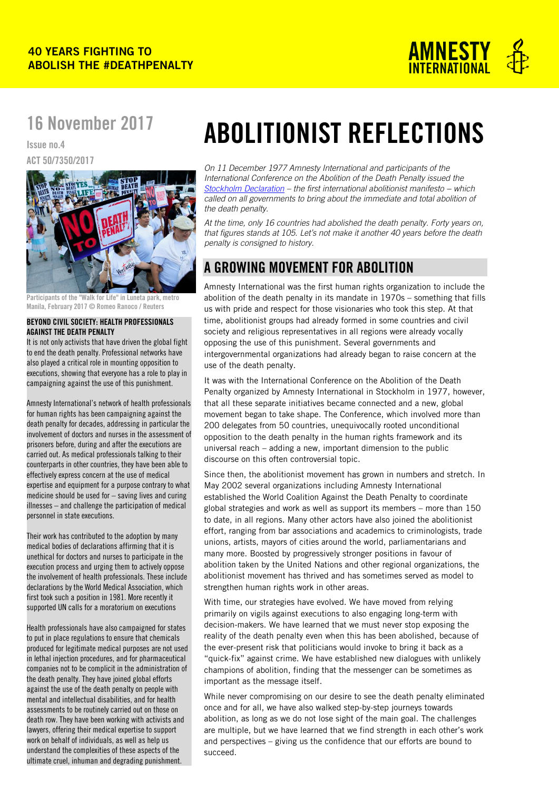

## 16 November 2017

Issue no.4 ACT 50/7350/2017



Participants of the "Walk for Life" in Luneta park, metro Manila, February 2017 © Romeo Ranoco / Reuters

#### BEYOND CIVIL SOCIETY: HEALTH PROFESSIONALS AGAINST THE DEATH PENALTY

It is not only activists that have driven the global fight to end the death penalty. Professional networks have also played a critical role in mounting opposition to executions, showing that everyone has a role to play in campaigning against the use of this punishment.

Amnesty International's network of health professionals for human rights has been campaigning against the death penalty for decades, addressing in particular the involvement of doctors and nurses in the assessment of prisoners before, during and after the executions are carried out. As medical professionals talking to their counterparts in other countries, they have been able to effectively express concern at the use of medical expertise and equipment for a purpose contrary to what medicine should be used for – saving lives and curing illnesses – and challenge the participation of medical personnel in state executions.

Their work has contributed to the adoption by many medical bodies of declarations affirming that it is unethical for doctors and nurses to participate in the execution process and urging them to actively oppose the involvement of health professionals. These include declarations by the World Medical Association, which first took such a position in 1981. More recently it supported UN calls for a moratorium on executions

Health professionals have also campaigned for states to put in place regulations to ensure that chemicals produced for legitimate medical purposes are not used in lethal injection procedures, and for pharmaceutical companies not to be complicit in the administration of the death penalty. They have joined global efforts against the use of the death penalty on people with mental and intellectual disabilities, and for health assessments to be routinely carried out on those on death row. They have been working with activists and lawyers, offering their medical expertise to support work on behalf of individuals, as well as help us understand the complexities of these aspects of the ultimate cruel, inhuman and degrading punishment.

# ABOLITIONIST REFLECTIONS

*On 11 December 1977 Amnesty International and participants of the International Conference on the Abolition of the Death Penalty issued the [Stockholm Declaration](https://www.amnesty.org/download/Documents/204000/act500011977en.pdf) – the first international abolitionist manifesto − which called on all governments to bring about the immediate and total abolition of the death penalty.*

*At the time, only 16 countries had abolished the death penalty. Forty years on, that figures stands at 105. Let's not make it another 40 years before the death penalty is consigned to history.* 

### A GROWING MOVEMENT FOR ABOLITION

Amnesty International was the first human rights organization to include the abolition of the death penalty in its mandate in 1970s – something that fills us with pride and respect for those visionaries who took this step. At that time, abolitionist groups had already formed in some countries and civil society and religious representatives in all regions were already vocally opposing the use of this punishment. Several governments and intergovernmental organizations had already began to raise concern at the use of the death penalty.

It was with the International Conference on the Abolition of the Death Penalty organized by Amnesty International in Stockholm in 1977, however, that all these separate initiatives became connected and a new, global movement began to take shape. The Conference, which involved more than 200 delegates from 50 countries, unequivocally rooted unconditional opposition to the death penalty in the human rights framework and its universal reach – adding a new, important dimension to the public discourse on this often controversial topic.

Since then, the abolitionist movement has grown in numbers and stretch. In May 2002 several organizations including Amnesty International established the World Coalition Against the Death Penalty to coordinate global strategies and work as well as support its members – more than 150 to date, in all regions. Many other actors have also joined the abolitionist effort, ranging from bar associations and academics to criminologists, trade unions, artists, mayors of cities around the world, parliamentarians and many more. Boosted by progressively stronger positions in favour of abolition taken by the United Nations and other regional organizations, the abolitionist movement has thrived and has sometimes served as model to strengthen human rights work in other areas.

With time, our strategies have evolved. We have moved from relying primarily on vigils against executions to also engaging long-term with decision-makers. We have learned that we must never stop exposing the reality of the death penalty even when this has been abolished, because of the ever-present risk that politicians would invoke to bring it back as a "quick-fix" against crime. We have established new dialogues with unlikely champions of abolition, finding that the messenger can be sometimes as important as the message itself.

While never compromising on our desire to see the death penalty eliminated once and for all, we have also walked step-by-step journeys towards abolition, as long as we do not lose sight of the main goal. The challenges are multiple, but we have learned that we find strength in each other's work and perspectives – giving us the confidence that our efforts are bound to succeed.